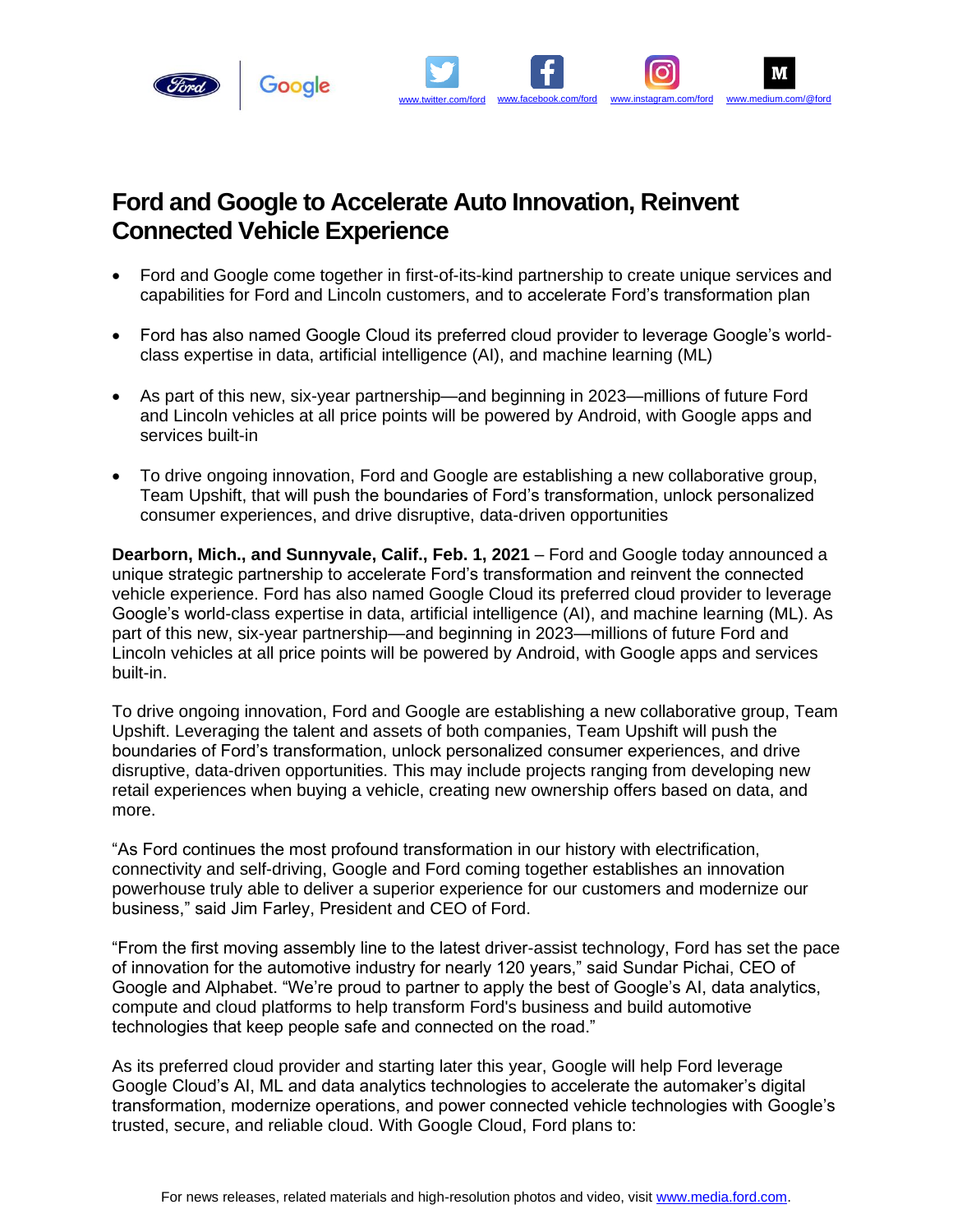

## **Ford and Google to Accelerate Auto Innovation, Reinvent Connected Vehicle Experience**

• Ford and Google come together in first-of-its-kind partnership to create unique services and capabilities for Ford and Lincoln customers, and to accelerate Ford's transformation plan

[www.twitter.com/ford](https://twitter.com/ford) [www.facebook.com/ford](http://www.facebook.com/ford) [www.instagram.com/ford](http://www.instagram.com/ford) [www.medium.com/@ford](https://medium.com/@ford)

- Ford has also named Google Cloud its preferred cloud provider to leverage Google's worldclass expertise in data, artificial intelligence (AI), and machine learning (ML)
- As part of this new, six-year partnership—and beginning in 2023—millions of future Ford and Lincoln vehicles at all price points will be powered by Android, with Google apps and services built-in
- To drive ongoing innovation, Ford and Google are establishing a new collaborative group, Team Upshift, that will push the boundaries of Ford's transformation, unlock personalized consumer experiences, and drive disruptive, data-driven opportunities

**Dearborn, Mich., and Sunnyvale, Calif., Feb. 1, 2021** – Ford and Google today announced a unique strategic partnership to accelerate Ford's transformation and reinvent the connected vehicle experience. Ford has also named Google Cloud its preferred cloud provider to leverage Google's world-class expertise in data, artificial intelligence (AI), and machine learning (ML). As part of this new, six-year partnership—and beginning in 2023—millions of future Ford and Lincoln vehicles at all price points will be powered by Android, with Google apps and services built-in.

To drive ongoing innovation, Ford and Google are establishing a new collaborative group, Team Upshift. Leveraging the talent and assets of both companies, Team Upshift will push the boundaries of Ford's transformation, unlock personalized consumer experiences, and drive disruptive, data-driven opportunities. This may include projects ranging from developing new retail experiences when buying a vehicle, creating new ownership offers based on data, and more.

"As Ford continues the most profound transformation in our history with electrification, connectivity and self-driving, Google and Ford coming together establishes an innovation powerhouse truly able to deliver a superior experience for our customers and modernize our business," said Jim Farley, President and CEO of Ford.

"From the first moving assembly line to the latest driver-assist technology, Ford has set the pace of innovation for the automotive industry for nearly 120 years," said Sundar Pichai, CEO of Google and Alphabet. "We're proud to partner to apply the best of Google's AI, data analytics, compute and cloud platforms to help transform Ford's business and build automotive technologies that keep people safe and connected on the road."

As its preferred cloud provider and starting later this year, Google will help Ford leverage Google Cloud's AI, ML and data analytics technologies to accelerate the automaker's digital transformation, modernize operations, and power connected vehicle technologies with Google's trusted, secure, and reliable cloud. With Google Cloud, Ford plans to: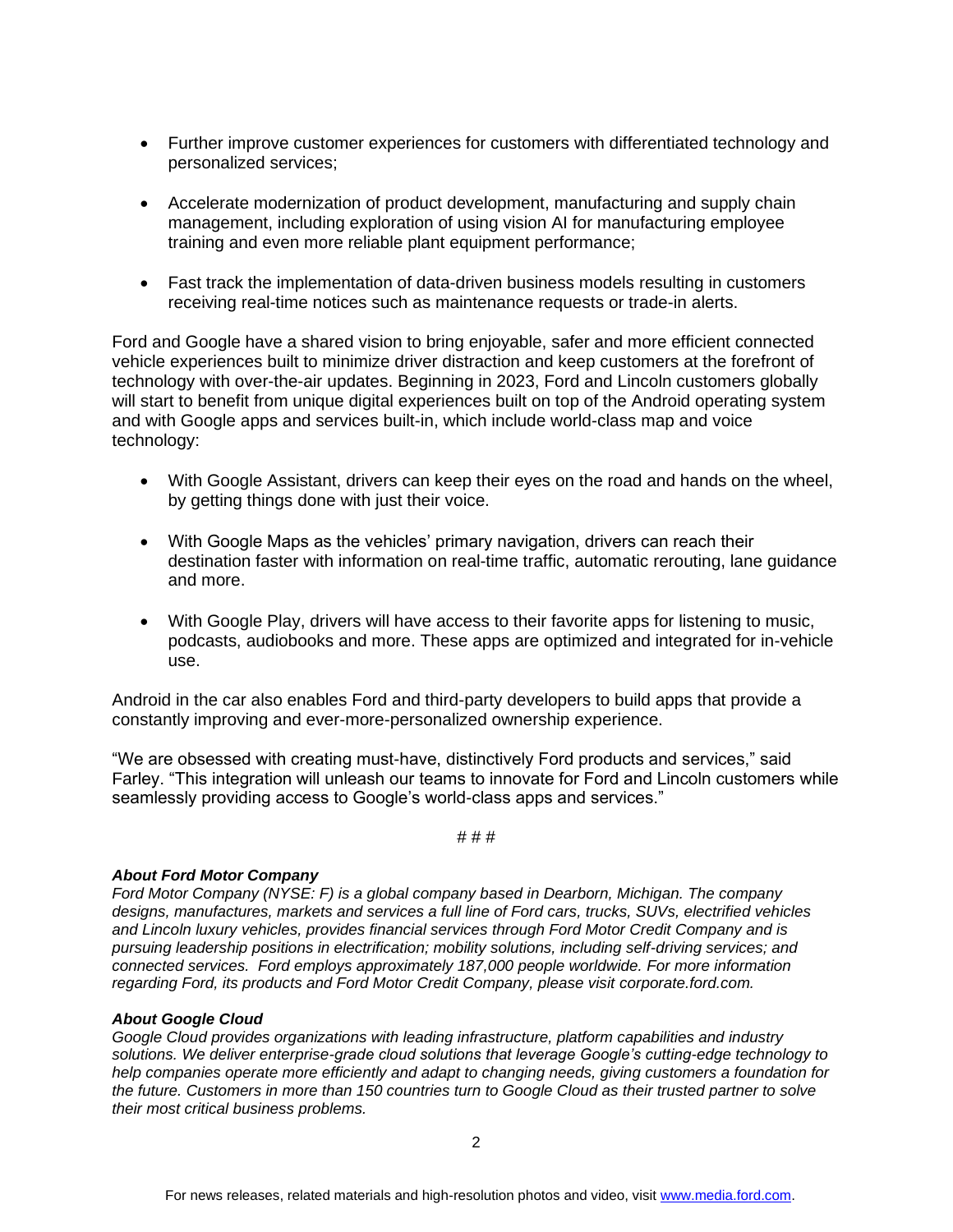- Further improve customer experiences for customers with differentiated technology and personalized services;
- Accelerate modernization of product development, manufacturing and supply chain management, including exploration of using vision AI for manufacturing employee training and even more reliable plant equipment performance;
- Fast track the implementation of data-driven business models resulting in customers receiving real-time notices such as maintenance requests or trade-in alerts.

Ford and Google have a shared vision to bring enjoyable, safer and more efficient connected vehicle experiences built to minimize driver distraction and keep customers at the forefront of technology with over-the-air updates. Beginning in 2023, Ford and Lincoln customers globally will start to benefit from unique digital experiences built on top of the Android operating system and with Google apps and services built-in, which include world-class map and voice technology:

- With Google Assistant, drivers can keep their eyes on the road and hands on the wheel, by getting things done with just their voice.
- With Google Maps as the vehicles' primary navigation, drivers can reach their destination faster with information on real-time traffic, automatic rerouting, lane guidance and more.
- With Google Play, drivers will have access to their favorite apps for listening to music, podcasts, audiobooks and more. These apps are optimized and integrated for in-vehicle use.

Android in the car also enables Ford and third-party developers to build apps that provide a constantly improving and ever-more-personalized ownership experience.

"We are obsessed with creating must-have, distinctively Ford products and services," said Farley. "This integration will unleash our teams to innovate for Ford and Lincoln customers while seamlessly providing access to Google's world-class apps and services."

# # #

## *About Ford Motor Company*

*Ford Motor Company (NYSE: F) is a global company based in Dearborn, Michigan. The company designs, manufactures, markets and services a full line of Ford cars, trucks, SUVs, electrified vehicles and Lincoln luxury vehicles, provides financial services through Ford Motor Credit Company and is pursuing leadership positions in electrification; mobility solutions, including self-driving services; and connected services. Ford employs approximately 187,000 people worldwide. For more information regarding Ford, its products and Ford Motor Credit Company, please visit corporate.ford.com.*

## *About Google Cloud*

*Google Cloud provides organizations with leading infrastructure, platform capabilities and industry solutions. We deliver enterprise-grade cloud solutions that leverage Google's cutting-edge technology to help companies operate more efficiently and adapt to changing needs, giving customers a foundation for the future. Customers in more than 150 countries turn to Google Cloud as their trusted partner to solve their most critical business problems.*